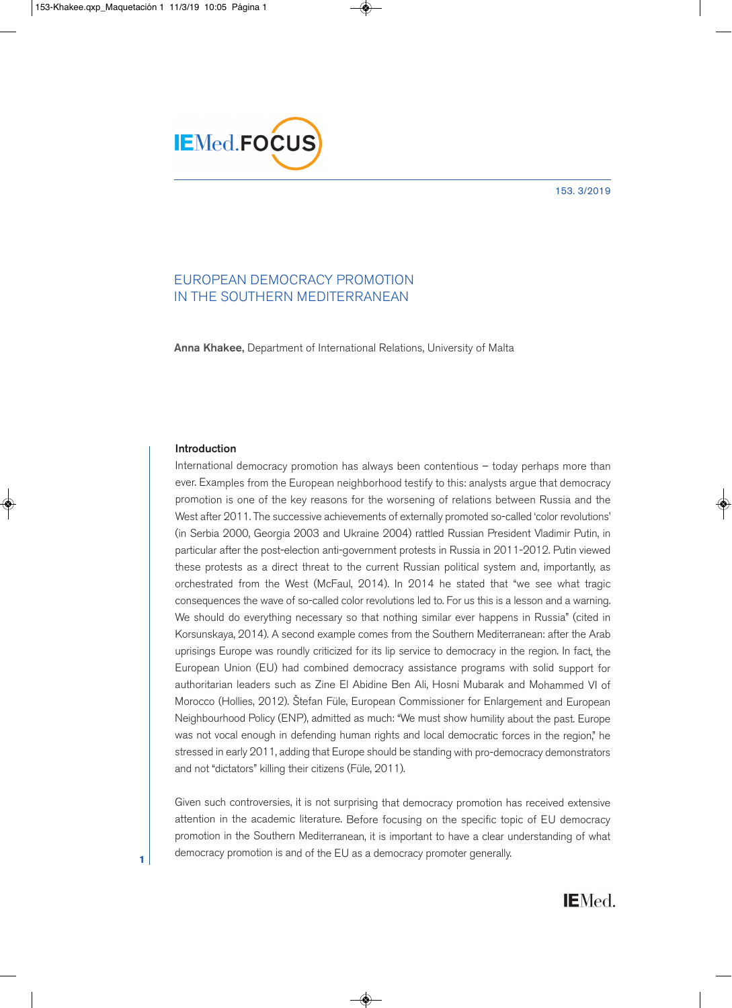#### 153. 3/2019



# EUROPEAN DEMOCRACY PROMOTION IN THE SOUTHERN MEDITERRANEAN

**Anna Khakee,** Department of International Relations, University of Malta

# **Introduction**

**1**

International democracy promotion has always been contentious – today perhaps more than ever. Examples from the European neighborhood testify to this: analysts argue that democracy promotion is one of the key reasons for the worsening of relations between Russia and the West after 2011. The successive achievements of externally promoted so-called 'color revolutions' (in Serbia 2000, Georgia 2003 and Ukraine 2004) rattled Russian President Vladimir Putin, in particular after the post-election anti-government protests in Russia in 2011-2012. Putin viewed these protests as a direct threat to the current Russian political system and, importantly, as orchestrated from the West (McFaul, 2014). In 2014 he stated that "we see what tragic consequences the wave of so-called color revolutions led to. For us this is a lesson and a warning. We should do everything necessary so that nothing similar ever happens in Russia" (cited in Korsunskaya, 2014). A second example comes from the Southern Mediterranean: after the Arab uprisings Europe was roundly criticized for its lip service to democracy in the region. In fact, the European Union (EU) had combined democracy assistance programs with solid support for authoritarian leaders such as Zine El Abidine Ben Ali, Hosni Mubarak and Mohammed VI of Morocco (Hollies, 2012). Štefan Füle, European Commissioner for Enlargement and European Neighbourhood Policy (ENP), admitted as much: "We must show humility about the past. Europe was not vocal enough in defending human rights and local democratic forces in the region," he stressed in early 2011, adding that Europe should be standing with pro-democracy demonstrators and not "dictators" killing their citizens (Füle, 2011).

Given such controversies, it is not surprising that democracy promotion has received extensive attention in the academic literature. Before focusing on the specific topic of EU democracy promotion in the Southern Mediterranean, it is important to have a clear understanding of what democracy promotion is and of the EU as a democracy promoter generally.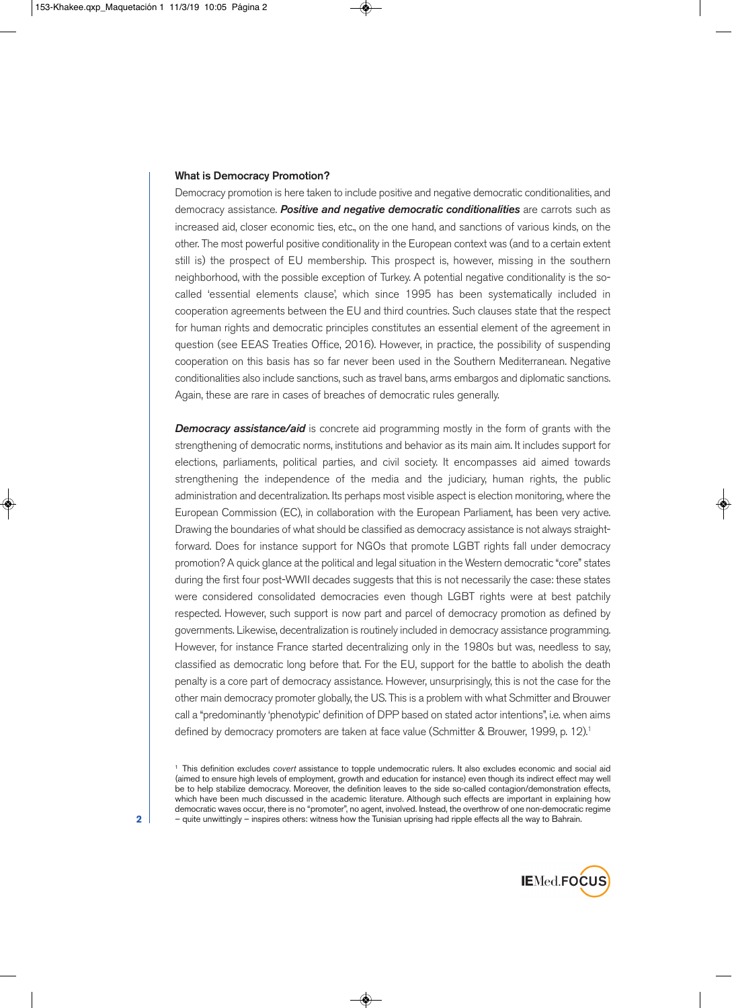### **What is Democracy Promotion?**

Democracy promotion is here taken to include positive and negative democratic conditionalities, and democracy assistance. *Positive and negative democratic conditionalities* are carrots such as increased aid, closer economic ties, etc., on the one hand, and sanctions of various kinds, on the other. The most powerful positive conditionality in the European context was (and to a certain extent still is) the prospect of EU membership. This prospect is, however, missing in the southern neighborhood, with the possible exception of Turkey. A potential negative conditionality is the socalled 'essential elements clause', which since 1995 has been systematically included in cooperation agreements between the EU and third countries. Such clauses state that the respect for human rights and democratic principles constitutes an essential element of the agreement in question (see EEAS Treaties Office, 2016). However, in practice, the possibility of suspending cooperation on this basis has so far never been used in the Southern Mediterranean. Negative conditionalities also include sanctions, such as travel bans, arms embargos and diplomatic sanctions. Again, these are rare in cases of breaches of democratic rules generally.

**Democracy assistance/aid** is concrete aid programming mostly in the form of grants with the strengthening of democratic norms, institutions and behavior as its main aim. It includes support for elections, parliaments, political parties, and civil society. It encompasses aid aimed towards strengthening the independence of the media and the judiciary, human rights, the public administration and decentralization. Its perhaps most visible aspect is election monitoring, where the European Commission (EC), in collaboration with the European Parliament, has been very active. Drawing the boundaries of what should be classified as democracy assistance is not always straightforward. Does for instance support for NGOs that promote LGBT rights fall under democracy promotion? A quick glance at the political and legal situation in the Western democratic "core" states during the first four post-WWII decades suggests that this is not necessarily the case: these states were considered consolidated democracies even though LGBT rights were at best patchily respected. However, such support is now part and parcel of democracy promotion as defined by governments. Likewise, decentralization is routinely included in democracy assistance programming. However, for instance France started decentralizing only in the 1980s but was, needless to say, classified as democratic long before that. For the EU, support for the battle to abolish the death penalty is a core part of democracy assistance. However, unsurprisingly, this is not the case for the other main democracy promoter globally, the US. This is a problem with what Schmitter and Brouwer call a "predominantly 'phenotypic' definition of DPP based on stated actor intentions", i.e. when aims defined by democracy promoters are taken at face value (Schmitter & Brouwer, 1999, p. 12). 1

<sup>1</sup> This definition excludes *covert* assistance to topple undemocratic rulers. It also excludes economic and social aid (aimed to ensure high levels of employment, growth and education for instance) even though its indirect effect may well be to help stabilize democracy. Moreover, the definition leaves to the side so-called contagion/demonstration effects, which have been much discussed in the academic literature. Although such effects are important in explaining how democratic waves occur, there is no "promoter", no agent, involved. Instead, the overthrow of one non-democratic regime – quite unwittingly – inspires others: witness how the Tunisian uprising had ripple effects all the way to Bahrain.



**2**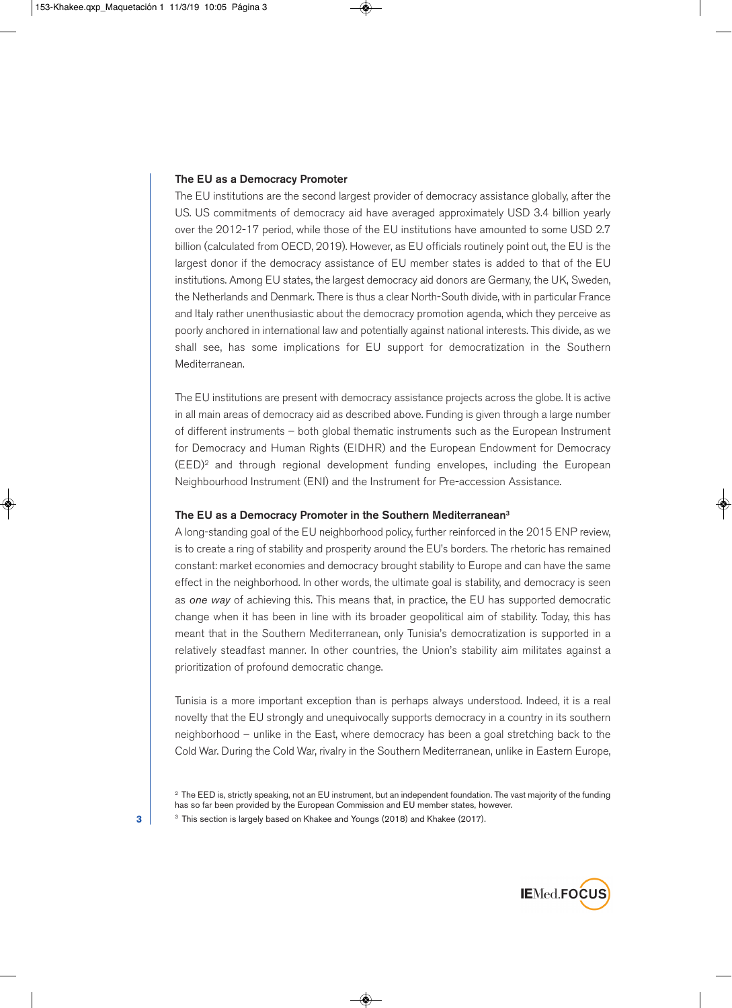#### **The EU as a Democracy Promoter**

The EU institutions are the second largest provider of democracy assistance globally, after the US. US commitments of democracy aid have averaged approximately USD 3.4 billion yearly over the 2012-17 period, while those of the EU institutions have amounted to some USD 2.7 billion (calculated from OECD, 2019). However, as EU officials routinely point out, the EU is the largest donor if the democracy assistance of EU member states is added to that of the EU institutions. Among EU states, the largest democracy aid donors are Germany, the UK, Sweden, the Netherlands and Denmark. There is thus a clear North-South divide, with in particular France and Italy rather unenthusiastic about the democracy promotion agenda, which they perceive as poorly anchored in international law and potentially against national interests. This divide, as we shall see, has some implications for EU support for democratization in the Southern Mediterranean.

The EU institutions are present with democracy assistance projects across the globe. It is active in all main areas of democracy aid as described above. Funding is given through a large number of different instruments – both global thematic instruments such as the European Instrument for Democracy and Human Rights (EIDHR) and the European Endowment for Democracy (EED) <sup>2</sup> and through regional development funding envelopes, including the European Neighbourhood Instrument (ENI) and the Instrument for Pre-accession Assistance.

### **The EU as a Democracy Promoter in the Southern Mediterranean3**

A long-standing goal of the EU neighborhood policy, further reinforced in the 2015 ENP review, is to create a ring of stability and prosperity around the EU's borders. The rhetoric has remained constant: market economies and democracy brought stability to Europe and can have the same effect in the neighborhood. In other words, the ultimate goal is stability, and democracy is seen as *one way* of achieving this. This means that, in practice, the EU has supported democratic change when it has been in line with its broader geopolitical aim of stability. Today, this has meant that in the Southern Mediterranean, only Tunisia's democratization is supported in a relatively steadfast manner. In other countries, the Union's stability aim militates against a prioritization of profound democratic change.

Tunisia is a more important exception than is perhaps always understood. Indeed, it is a real novelty that the EU strongly and unequivocally supports democracy in a country in its southern neighborhood – unlike in the East, where democracy has been a goal stretching back to the Cold War. During the Cold War, rivalry in the Southern Mediterranean, unlike in Eastern Europe,



**3**

<sup>&</sup>lt;sup>2</sup> The EED is, strictly speaking, not an EU instrument, but an independent foundation. The vast majority of the funding has so far been provided by the European Commission and EU member states, however.

<sup>&</sup>lt;sup>3</sup> This section is largely based on Khakee and Youngs (2018) and Khakee (2017).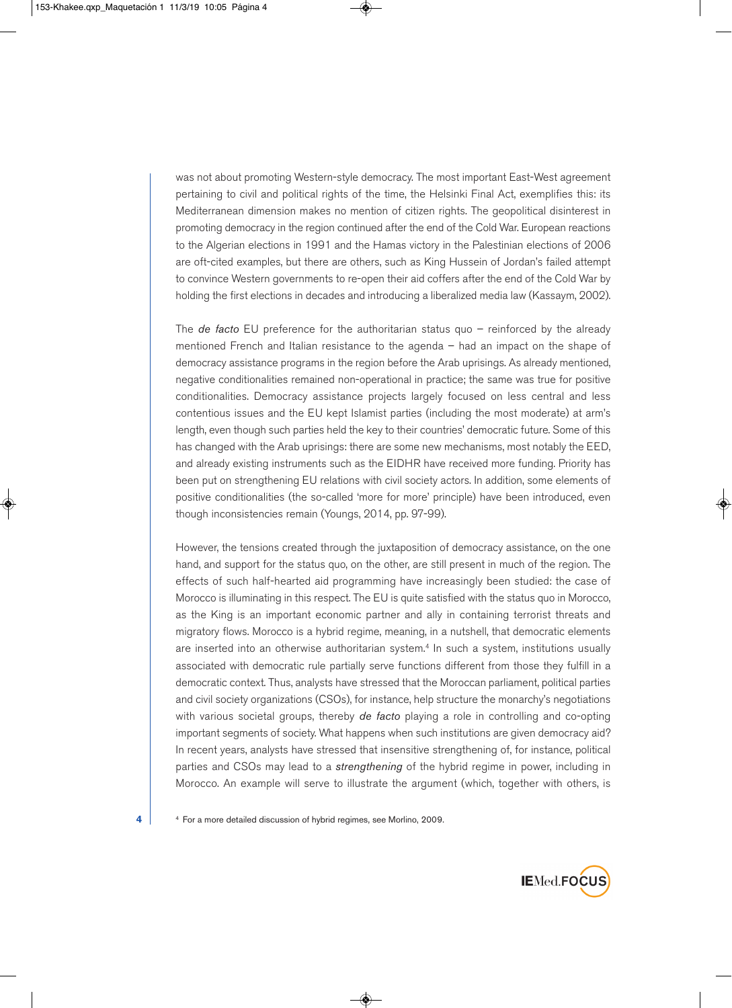was not about promoting Western-style democracy. The most important East-West agreement pertaining to civil and political rights of the time, the Helsinki Final Act, exemplifies this: its Mediterranean dimension makes no mention of citizen rights. The geopolitical disinterest in promoting democracy in the region continued after the end of the Cold War. European reactions to the Algerian elections in 1991 and the Hamas victory in the Palestinian elections of 2006 are oft-cited examples, but there are others, such as King Hussein of Jordan's failed attempt to convince Western governments to re-open their aid coffers after the end of the Cold War by holding the first elections in decades and introducing a liberalized media law (Kassaym, 2002).

The *de facto* EU preference for the authoritarian status quo – reinforced by the already mentioned French and Italian resistance to the agenda – had an impact on the shape of democracy assistance programs in the region before the Arab uprisings. As already mentioned, negative conditionalities remained non-operational in practice; the same was true for positive conditionalities. Democracy assistance projects largely focused on less central and less contentious issues and the EU kept Islamist parties (including the most moderate) at arm's length, even though such parties held the key to their countries' democratic future. Some of this has changed with the Arab uprisings: there are some new mechanisms, most notably the EED, and already existing instruments such as the EIDHR have received more funding. Priority has been put on strengthening EU relations with civil society actors. In addition, some elements of positive conditionalities (the so-called 'more for more' principle) have been introduced, even though inconsistencies remain (Youngs, 2014, pp. 97-99).

However, the tensions created through the juxtaposition of democracy assistance, on the one hand, and support for the status quo, on the other, are still present in much of the region. The effects of such half-hearted aid programming have increasingly been studied: the case of Morocco is illuminating in this respect. The EU is quite satisfied with the status quo in Morocco, as the King is an important economic partner and ally in containing terrorist threats and migratory flows. Morocco is a hybrid regime, meaning, in a nutshell, that democratic elements are inserted into an otherwise authoritarian system. <sup>4</sup> In such a system, institutions usually associated with democratic rule partially serve functions different from those they fulfill in a democratic context. Thus, analysts have stressed that the Moroccan parliament, political parties and civil society organizations (CSOs), for instance, help structure the monarchy's negotiations with various societal groups, thereby *de facto* playing a role in controlling and co-opting important segments of society. What happens when such institutions are given democracy aid? In recent years, analysts have stressed that insensitive strengthening of, for instance, political parties and CSOs may lead to a *strengthening* of the hybrid regime in power, including in Morocco. An example will serve to illustrate the argument (which, together with others, is

<sup>4</sup> **4** For a more detailed discussion of hybrid regimes, see Morlino, 2009.

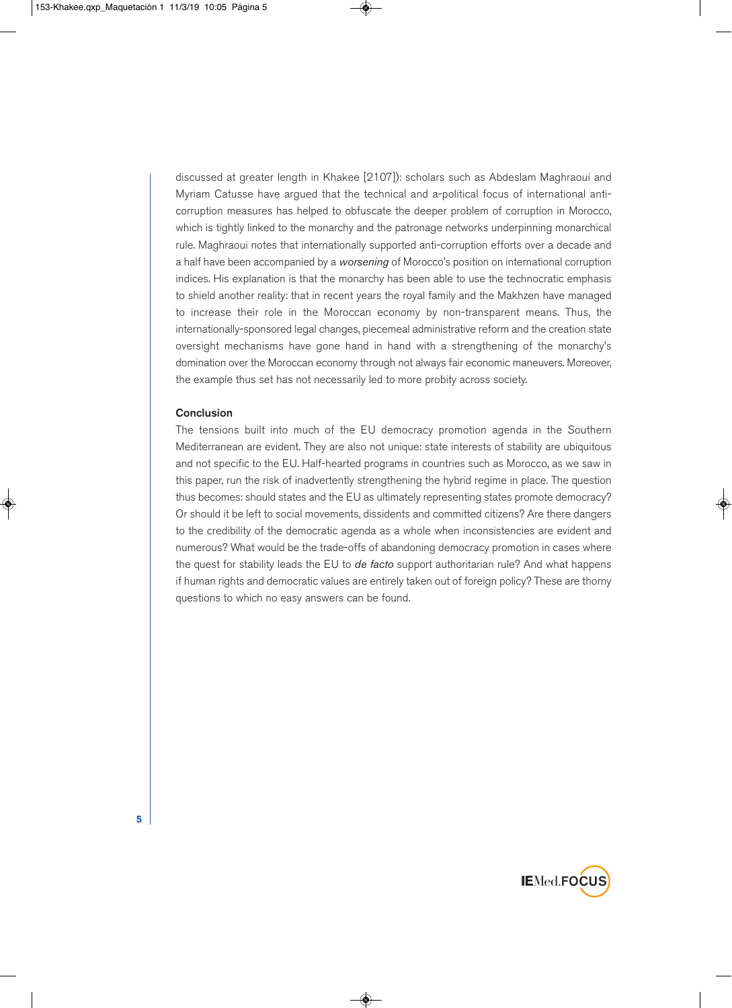discussed at greater length in Khakee [2107]): scholars such as Abdeslam Maghraoui and Myriam Catusse have argued that the technical and a-political focus of international anticorruption measures has helped to obfuscate the deeper problem of corruption in Morocco, which is tightly linked to the monarchy and the patronage networks underpinning monarchical rule. Maghraoui notes that internationally supported anti-corruption efforts over a decade and a half have been accompanied by a *worsening* of Morocco's position on international corruption indices. His explanation is that the monarchy has been able to use the technocratic emphasis to shield another reality: that in recent years the royal family and the Makhzen have managed to increase their role in the Moroccan economy by non-transparent means. Thus, the internationally-sponsored legal changes, piecemeal administrative reform and the creation state oversight mechanisms have gone hand in hand with a strengthening of the monarchy's domination over the Moroccan economy through not always fair economic maneuvers. Moreover, the example thus set has not necessarily led to more probity across society.

## **Conclusion**

The tensions built into much of the EU democracy promotion agenda in the Southern Mediterranean are evident. They are also not unique: state interests of stability are ubiquitous and not specific to the EU. Half-hearted programs in countries such as Morocco, as we saw in this paper, run the risk of inadvertently strengthening the hybrid regime in place. The question thus becomes: should states and the EU as ultimately representing states promote democracy? Or should it be left to social movements, dissidents and committed citizens? Are there dangers to the credibility of the democratic agenda as a whole when inconsistencies are evident and numerous? What would be the trade-offs of abandoning democracy promotion in cases where the quest for stability leads the EU to *de facto* support authoritarian rule? And what happens if human rights and democratic values are entirely taken out of foreign policy? These are thorny questions to which no easy answers can be found.